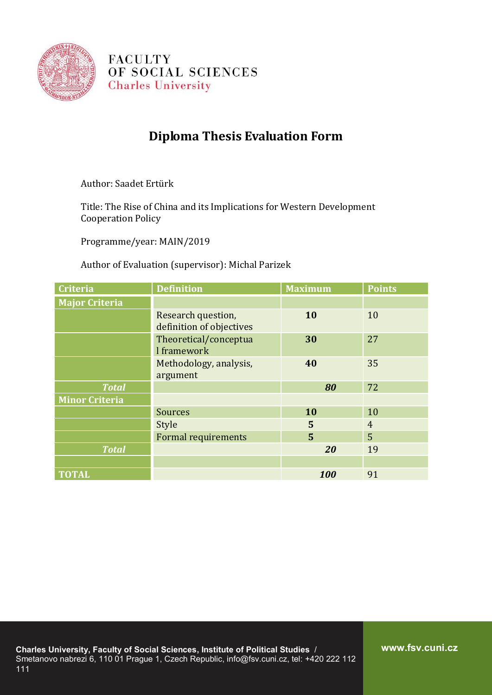

**FACULTY** OF SOCIAL SCIENCES **Charles University** 

## **Diploma Thesis Evaluation Form**

Author: Saadet Ertürk

Title: The Rise of China and its Implications for Western Development Cooperation Policy

Programme/year: MAIN/2019

Author of Evaluation (supervisor): Michal Parizek

| <b>Criteria</b>       | <b>Definition</b>                              | <b>Maximum</b> | <b>Points</b>  |
|-----------------------|------------------------------------------------|----------------|----------------|
| <b>Major Criteria</b> |                                                |                |                |
|                       | Research question,<br>definition of objectives | 10             | 10             |
|                       | Theoretical/conceptua<br>l framework           | 30             | 27             |
|                       | Methodology, analysis,<br>argument             | 40             | 35             |
| <b>Total</b>          |                                                | 80             | 72             |
| <b>Minor Criteria</b> |                                                |                |                |
|                       | <b>Sources</b>                                 | 10             | 10             |
|                       | Style                                          | 5              | $\overline{4}$ |
|                       | Formal requirements                            | 5              | 5              |
| <b>Total</b>          |                                                | 20             | 19             |
|                       |                                                |                |                |
| <b>TOTAL</b>          |                                                | 100            | 91             |

**www.fsv.cuni.cz**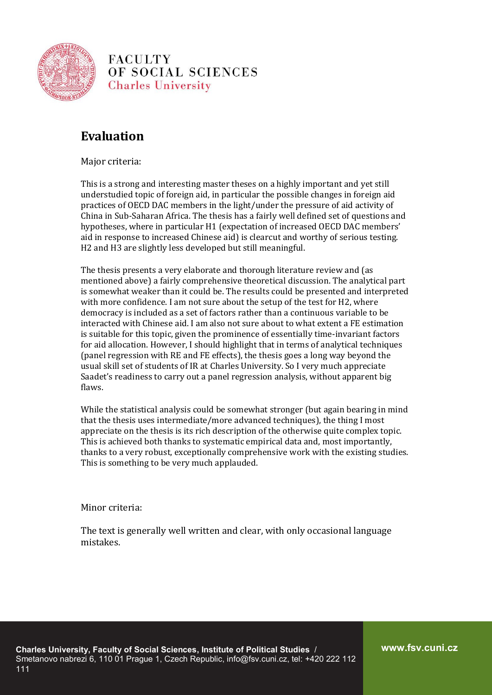

**FACULTY** OF SOCIAL SCIENCES **Charles University** 

## **Evaluation**

Major criteria:

This is a strong and interesting master theses on a highly important and yet still understudied topic of foreign aid, in particular the possible changes in foreign aid practices of OECD DAC members in the light/under the pressure of aid activity of China in Sub-Saharan Africa. The thesis has a fairly well defined set of questions and hypotheses, where in particular H1 (expectation of increased OECD DAC members' aid in response to increased Chinese aid) is clearcut and worthy of serious testing. H2 and H3 are slightly less developed but still meaningful.

The thesis presents a very elaborate and thorough literature review and (as mentioned above) a fairly comprehensive theoretical discussion. The analytical part is somewhat weaker than it could be. The results could be presented and interpreted with more confidence. I am not sure about the setup of the test for H2, where democracy is included as a set of factors rather than a continuous variable to be interacted with Chinese aid. I am also not sure about to what extent a FE estimation is suitable for this topic, given the prominence of essentially time-invariant factors for aid allocation. However, I should highlight that in terms of analytical techniques (panel regression with RE and FE effects), the thesis goes a long way beyond the usual skill set of students of IR at Charles University. So I very much appreciate Saadet's readiness to carry out a panel regression analysis, without apparent big flaws.

While the statistical analysis could be somewhat stronger (but again bearing in mind that the thesis uses intermediate/more advanced techniques), the thing I most appreciate on the thesis is its rich description of the otherwise quite complex topic. This is achieved both thanks to systematic empirical data and, most importantly, thanks to a very robust, exceptionally comprehensive work with the existing studies. This is something to be very much applauded.

Minor criteria:

The text is generally well written and clear, with only occasional language mistakes.

**www.fsv.cuni.cz**